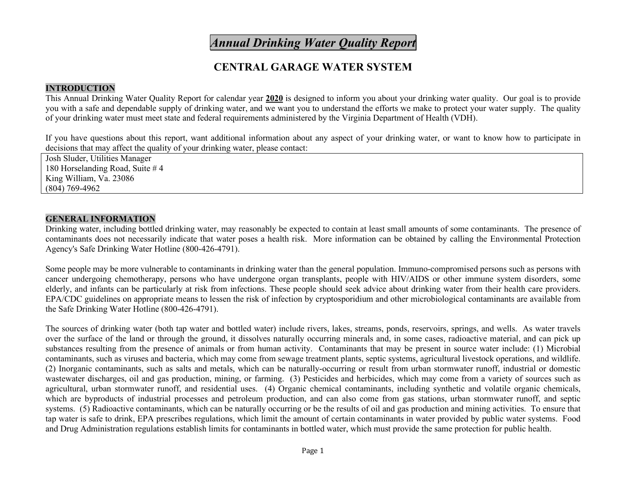# *Annual Drinking Water Quality Report*

## **CENTRAL GARAGE WATER SYSTEM**

## **INTRODUCTION**

This Annual Drinking Water Quality Report for calendar year **2020** is designed to inform you about your drinking water quality. Our goal is to provide you with a safe and dependable supply of drinking water, and we want you to understand the efforts we make to protect your water supply. The quality of your drinking water must meet state and federal requirements administered by the Virginia Department of Health (VDH).

If you have questions about this report, want additional information about any aspect of your drinking water, or want to know how to participate in decisions that may affect the quality of your drinking water, please contact:

Josh Sluder, Utilities Manager 180 Horselanding Road, Suite # 4 King William, Va. 23086 (804) 769-4962

## **GENERAL INFORMATION**

Drinking water, including bottled drinking water, may reasonably be expected to contain at least small amounts of some contaminants. The presence of contaminants does not necessarily indicate that water poses a health risk. More information can be obtained by calling the Environmental Protection Agency's Safe Drinking Water Hotline (800-426-4791).

Some people may be more vulnerable to contaminants in drinking water than the general population. Immuno-compromised persons such as persons with cancer undergoing chemotherapy, persons who have undergone organ transplants, people with HIV/AIDS or other immune system disorders, some elderly, and infants can be particularly at risk from infections. These people should seek advice about drinking water from their health care providers. EPA/CDC guidelines on appropriate means to lessen the risk of infection by cryptosporidium and other microbiological contaminants are available from the Safe Drinking Water Hotline (800-426-4791).

The sources of drinking water (both tap water and bottled water) include rivers, lakes, streams, ponds, reservoirs, springs, and wells. As water travels over the surface of the land or through the ground, it dissolves naturally occurring minerals and, in some cases, radioactive material, and can pick up substances resulting from the presence of animals or from human activity. Contaminants that may be present in source water include: (1) Microbial contaminants, such as viruses and bacteria, which may come from sewage treatment plants, septic systems, agricultural livestock operations, and wildlife. (2) Inorganic contaminants, such as salts and metals, which can be naturally-occurring or result from urban stormwater runoff, industrial or domestic wastewater discharges, oil and gas production, mining, or farming. (3) Pesticides and herbicides, which may come from a variety of sources such as agricultural, urban stormwater runoff, and residential uses. (4) Organic chemical contaminants, including synthetic and volatile organic chemicals, which are byproducts of industrial processes and petroleum production, and can also come from gas stations, urban stormwater runoff, and septic systems. (5) Radioactive contaminants, which can be naturally occurring or be the results of oil and gas production and mining activities. To ensure that tap water is safe to drink, EPA prescribes regulations, which limit the amount of certain contaminants in water provided by public water systems. Food and Drug Administration regulations establish limits for contaminants in bottled water, which must provide the same protection for public health.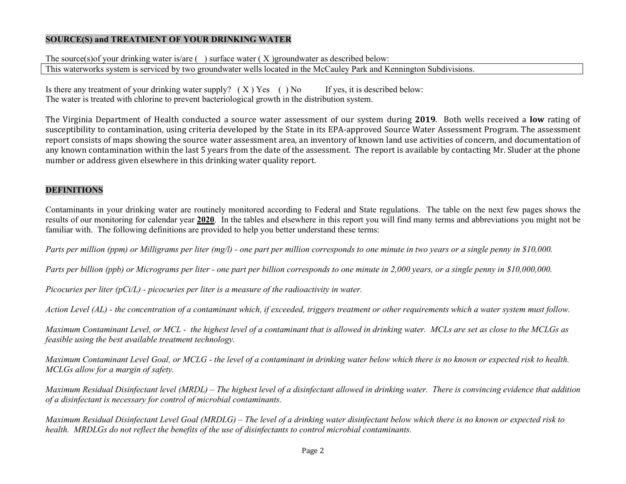#### **SOURCE(S) and TREATMENT OF YOUR DRINKING WATER**

The source(s)of your drinking water is/are  $( )$  surface water  $( X )$  groundwater as described below: This waterworks system is serviced by two groundwater wells located in the McCauley Park and Kennington Subdivisions.

Is there any treatment of your drinking water supply?  $(X)$  Yes () No If yes, it is described below: The water is treated with chlorine to prevent bacteriological growth in the distribution system.

The Virginia Department of Health conducted a source water assessment of our system during **2019**. Both wells received a **low** rating of susceptibility to contamination, using criteria developed by the State in its EPA-approved Source Water Assessment Program. The assessment report consists of maps showing the source water assessment area, an inventory of known land use activities of concern, and documentation of any known contamination within the last 5 years from the date of the assessment. The report is available by contacting Mr. Sluder at the phone number or address given elsewhere in this drinking water quality report.

#### **DEFINITIONS**

Contaminants in your drinking water are routinely monitored according to Federal and State regulations. The table on the next few pages shows the results of our monitoring for calendar year **2020**. In the tables and elsewhere in this report you will find many terms and abbreviations you might not be familiar with. The following definitions are provided to help you better understand these terms:

*Parts per million (ppm) or Milligrams per liter (mg/l) - one part per million corresponds to one minute in two years or a single penny in \$10,000.*

*Parts per billion (ppb) or Micrograms per liter - one part per billion corresponds to one minute in 2,000 years, or a single penny in \$10,000,000.* 

*Picocuries per liter (pCi/L) - picocuries per liter is a measure of the radioactivity in water.*

*Action Level (AL) - the concentration of a contaminant which, if exceeded, triggers treatment or other requirements which a water system must follow.*

*Maximum Contaminant Level, or MCL - the highest level of a contaminant that is allowed in drinking water. MCLs are set as close to the MCLGs as feasible using the best available treatment technology.*

*Maximum Contaminant Level Goal, or MCLG - the level of a contaminant in drinking water below which there is no known or expected risk to health. MCLGs allow for a margin of safety.*

*Maximum Residual Disinfectant level (MRDL) – The highest level of a disinfectant allowed in drinking water. There is convincing evidence that addition of a disinfectant is necessary for control of microbial contaminants.* 

*Maximum Residual Disinfectant Level Goal (MRDLG) – The level of a drinking water disinfectant below which there is no known or expected risk to health. MRDLGs do not reflect the benefits of the use of disinfectants to control microbial contaminants.*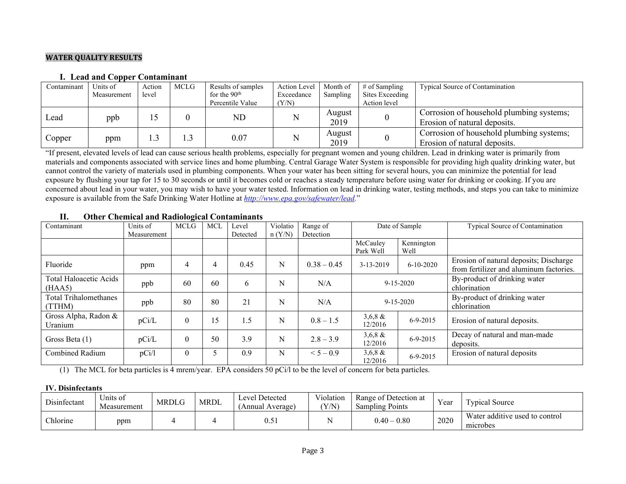#### **WATER QUALITY RESULTS**

#### **I. Lead and Copper Contaminant**

| Contaminant | Units of    | Action | MCLG | Results of samples | <b>Action Level</b> | Month of       | $\#$ of Sampling | <b>Typical Source of Contamination</b>   |
|-------------|-------------|--------|------|--------------------|---------------------|----------------|------------------|------------------------------------------|
|             | Measurement | level  |      | for the $90th$     | Exceedance          | Sampling       | Sites Exceeding  |                                          |
|             |             |        |      | Percentile Value   | (Y/N)               |                | Action level     |                                          |
| Lead        | ppb         |        |      | ${\rm ND}$         |                     | August<br>2019 |                  | Corrosion of household plumbing systems; |
|             |             |        |      |                    |                     |                |                  | Erosion of natural deposits.             |
|             |             |        |      | 0.07               |                     | August         |                  | Corrosion of household plumbing systems; |
| Copper      | ppm         | 1.3    | . .3 |                    |                     | 2019           |                  | Erosion of natural deposits.             |

"If present, elevated levels of lead can cause serious health problems, especially for pregnant women and young children. Lead in drinking water is primarily from materials and components associated with service lines and home plumbing. Central Garage Water System is responsible for providing high quality drinking water, but cannot control the variety of materials used in plumbing components. When your water has been sitting for several hours, you can minimize the potential for lead exposure by flushing your tap for 15 to 30 seconds or until it becomes cold or reaches a steady temperature before using water for drinking or cooking. If you are concerned about lead in your water, you may wish to have your water tested. Information on lead in drinking water, testing methods, and steps you can take to minimize exposure is available from the Safe Drinking Water Hotline at *[http://www.epa.gov/safewater/lead.](http://www.epa.gov/safewater/lead)*"

| Contaminant                      | Units of<br>Measurement | <b>MCLG</b>      | <b>MCL</b> | Level<br>Detected | Violatio<br>n (Y/N) | Range of<br>Detection | Date of Sample        |                    | <b>Typical Source of Contamination</b>                                            |
|----------------------------------|-------------------------|------------------|------------|-------------------|---------------------|-----------------------|-----------------------|--------------------|-----------------------------------------------------------------------------------|
|                                  |                         |                  |            |                   |                     |                       | McCauley<br>Park Well | Kennington<br>Well |                                                                                   |
| Fluoride                         | ppm                     | 4                | 4          | 0.45              | N                   | $0.38 - 0.45$         | 3-13-2019             | $6-10-2020$        | Erosion of natural deposits; Discharge<br>from fertilizer and aluminum factories. |
| Total Haloacetic Acids<br>(HAA5) | ppb                     | 60               | 60         | 6                 | N                   | N/A                   | $9 - 15 - 2020$       |                    | By-product of drinking water<br>chlorination                                      |
| Total Trihalomethanes<br>(TTHM)  | ppb                     | 80               | 80         | 21                | N                   | N/A                   | $9 - 15 - 2020$       |                    | By-product of drinking water<br>chlorination                                      |
| Gross Alpha, Radon &<br>Uranium  | pCi/L                   | $\boldsymbol{0}$ | 15         | 1.5               | N                   | $0.8 - 1.5$           | $3,6,8 \&$<br>12/2016 | $6 - 9 - 2015$     | Erosion of natural deposits.                                                      |
| Gross Beta (1)                   | pCi/L                   | $\boldsymbol{0}$ | 50         | 3.9               | N                   | $2.8 - 3.9$           | $3,6,8 \&$<br>12/2016 | $6 - 9 - 2015$     | Decay of natural and man-made<br>deposits.                                        |
| Combined Radium                  | pCi/1                   | $\boldsymbol{0}$ |            | 0.9               | N                   | $< 5 - 0.9$           | $3,6,8 \&$<br>12/2016 | $6 - 9 - 2015$     | Erosion of natural deposits                                                       |

#### **II. Other Chemical and Radiological Contaminants**

(1) The MCL for beta particles is 4 mrem/year. EPA considers 50 pCi/l to be the level of concern for beta particles.

#### **IV. Disinfectants**

| Disinfectant | ∪nıts of<br>Measurement | MRDLG | <b>MRDL</b> | Level Detected<br>(Annual Average) | Violation<br>(Y/N) | Range of Detection at<br><b>Sampling Points</b> | Year | Typical Source                             |
|--------------|-------------------------|-------|-------------|------------------------------------|--------------------|-------------------------------------------------|------|--------------------------------------------|
| Chlorine     | ppm                     |       |             | 0.5 I                              |                    | $0.40 - 0.80$                                   | 2020 | Water additive used to control<br>microbes |